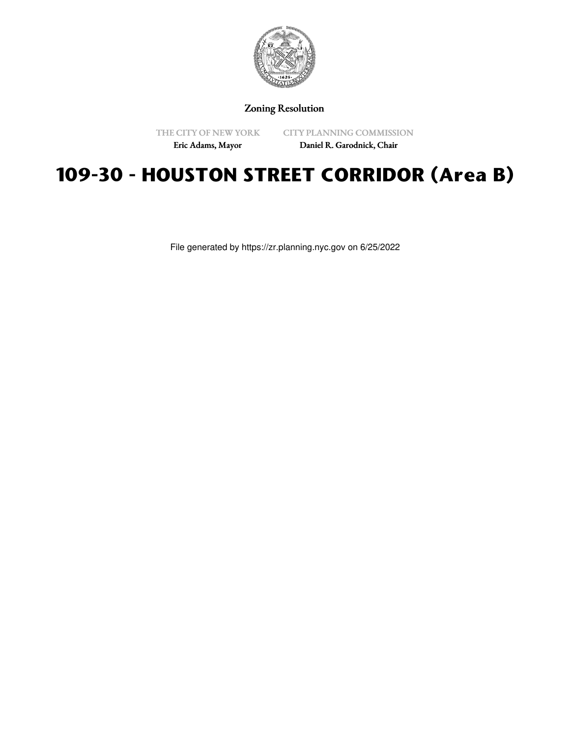

Zoning Resolution

THE CITY OF NEW YORK

CITY PLANNING COMMISSION

Eric Adams, Mayor

Daniel R. Garodnick, Chair

# **109-30 - HOUSTON STREET CORRIDOR (Area B)**

File generated by https://zr.planning.nyc.gov on 6/25/2022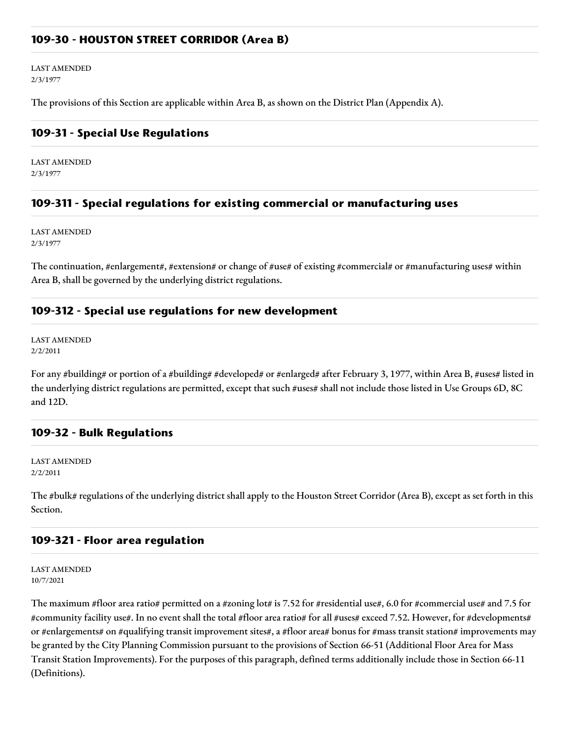### **109-30 - HOUSTON STREET CORRIDOR (Area B)**

LAST AMENDED 2/3/1977

The provisions of this Section are applicable within Area B, as shown on the District Plan (Appendix A).

#### **109-31 - Special Use Regulations**

LAST AMENDED 2/3/1977

#### **109-311 - Special regulations for existing commercial or manufacturing uses**

LAST AMENDED 2/3/1977

The continuation, #enlargement#, #extension# or change of #use# of existing #commercial# or #manufacturing uses# within Area B, shall be governed by the underlying district regulations.

#### **109-312 - Special use regulations for new development**

LAST AMENDED 2/2/2011

For any #building# or portion of a #building# #developed# or #enlarged# after February 3, 1977, within Area B, #uses# listed in the underlying district regulations are permitted, except that such #uses# shall not include those listed in Use Groups 6D, 8C and 12D.

#### **109-32 - Bulk Regulations**

LAST AMENDED 2/2/2011

The #bulk# regulations of the underlying district shall apply to the Houston Street Corridor (Area B), except as set forth in this Section.

#### **109-321 - Floor area regulation**

LAST AMENDED 10/7/2021

The maximum #floor area ratio# permitted on a #zoning lot# is 7.52 for #residential use#, 6.0 for #commercial use# and 7.5 for #community facility use#. In no event shall the total #floor area ratio# for all #uses# exceed 7.52. However, for #developments# or #enlargements# on #qualifying transit improvement sites#, a #floor area# bonus for #mass transit station# improvements may be granted by the City Planning Commission pursuant to the provisions of Section 66-51 (Additional Floor Area for Mass Transit Station Improvements). For the purposes of this paragraph, defined terms additionally include those in Section 66-11 (Definitions).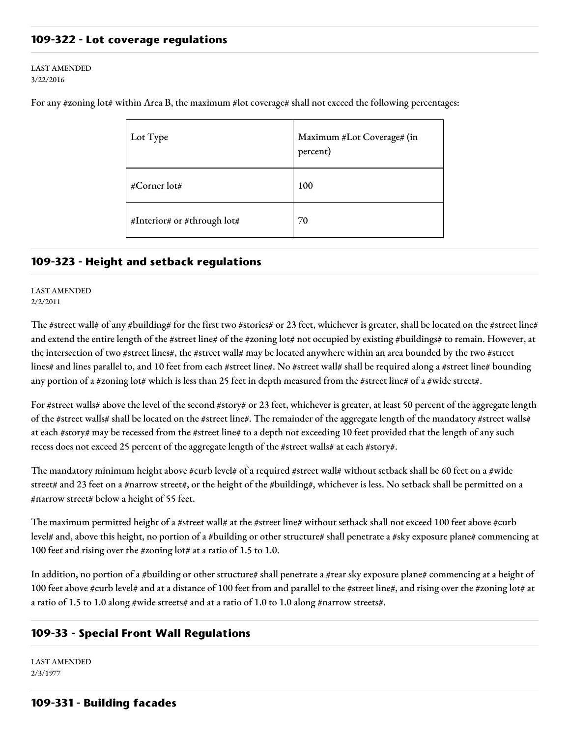## **109-322 - Lot coverage regulations**

#### LAST AMENDED 3/22/2016

| Lot Type                    | Maximum #Lot Coverage# (in<br>percent) |
|-----------------------------|----------------------------------------|
| #Corner lot#                | 100                                    |
| #Interior# or #through lot# | 70                                     |

For any #zoning lot# within Area B, the maximum #lot coverage# shall not exceed the following percentages:

#### **109-323 - Height and setback regulations**

#### LAST AMENDED 2/2/2011

The #street wall# of any #building# for the first two #stories# or 23 feet, whichever is greater, shall be located on the #street line# and extend the entire length of the #street line# of the #zoning lot# not occupied by existing #buildings# to remain. However, at the intersection of two #street lines#, the #street wall# may be located anywhere within an area bounded by the two #street lines# and lines parallel to, and 10 feet from each #street line#. No #street wall# shall be required along a #street line# bounding any portion of a #zoning lot# which is less than 25 feet in depth measured from the #street line# of a #wide street#.

For #street walls# above the level of the second #story# or 23 feet, whichever is greater, at least 50 percent of the aggregate length of the #street walls# shall be located on the #street line#. The remainder of the aggregate length of the mandatory #street walls# at each #story# may be recessed from the #street line# to a depth not exceeding 10 feet provided that the length of any such recess does not exceed 25 percent of the aggregate length of the #street walls# at each #story#.

The mandatory minimum height above #curb level# of a required #street wall# without setback shall be 60 feet on a #wide street# and 23 feet on a #narrow street#, or the height of the #building#, whichever is less. No setback shall be permitted on a #narrow street# below a height of 55 feet.

The maximum permitted height of a #street wall# at the #street line# without setback shall not exceed 100 feet above #curb level# and, above this height, no portion of a #building or other structure# shall penetrate a #sky exposure plane# commencing at 100 feet and rising over the #zoning lot# at a ratio of 1.5 to 1.0.

In addition, no portion of a #building or other structure# shall penetrate a #rear sky exposure plane# commencing at a height of 100 feet above #curb level# and at a distance of 100 feet from and parallel to the #street line#, and rising over the #zoning lot# at a ratio of 1.5 to 1.0 along #wide streets# and at a ratio of 1.0 to 1.0 along #narrow streets#.

## **109-33 - Special Front Wall Regulations**

LAST AMENDED 2/3/1977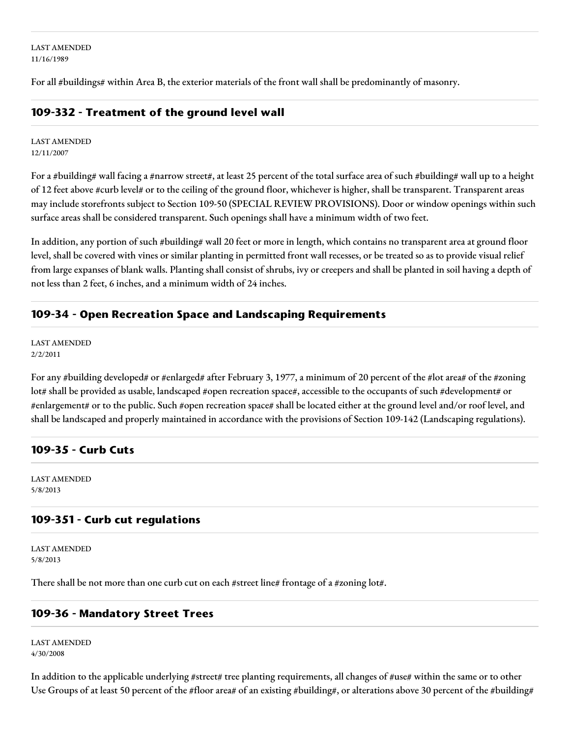LAST AMENDED 11/16/1989

For all #buildings# within Area B, the exterior materials of the front wall shall be predominantly of masonry.

## **109-332 - Treatment of the ground level wall**

LAST AMENDED 12/11/2007

For a #building# wall facing a #narrow street#, at least 25 percent of the total surface area of such #building# wall up to a height of 12 feet above #curb level# or to the ceiling of the ground floor, whichever is higher, shall be transparent. Transparent areas may include storefronts subject to Section 109-50 (SPECIAL REVIEW PROVISIONS). Door or window openings within such surface areas shall be considered transparent. Such openings shall have a minimum width of two feet.

In addition, any portion of such #building# wall 20 feet or more in length, which contains no transparent area at ground floor level, shall be covered with vines or similar planting in permitted front wall recesses, or be treated so as to provide visual relief from large expanses of blank walls. Planting shall consist of shrubs, ivy or creepers and shall be planted in soil having a depth of not less than 2 feet, 6 inches, and a minimum width of 24 inches.

## **109-34 - Open Recreation Space and Landscaping Requirements**

LAST AMENDED 2/2/2011

For any #building developed# or #enlarged# after February 3, 1977, a minimum of 20 percent of the #lot area# of the #zoning lot# shall be provided as usable, landscaped #open recreation space#, accessible to the occupants of such #development# or #enlargement# or to the public. Such #open recreation space# shall be located either at the ground level and/or roof level, and shall be landscaped and properly maintained in accordance with the provisions of Section 109-142 (Landscaping regulations).

## **109-35 - Curb Cuts**

LAST AMENDED 5/8/2013

## **109-351 - Curb cut regulations**

LAST AMENDED 5/8/2013

There shall be not more than one curb cut on each #street line# frontage of a #zoning lot#.

## **109-36 - Mandatory Street Trees**

LAST AMENDED 4/30/2008

In addition to the applicable underlying #street# tree planting requirements, all changes of #use# within the same or to other Use Groups of at least 50 percent of the #floor area# of an existing #building#, or alterations above 30 percent of the #building#